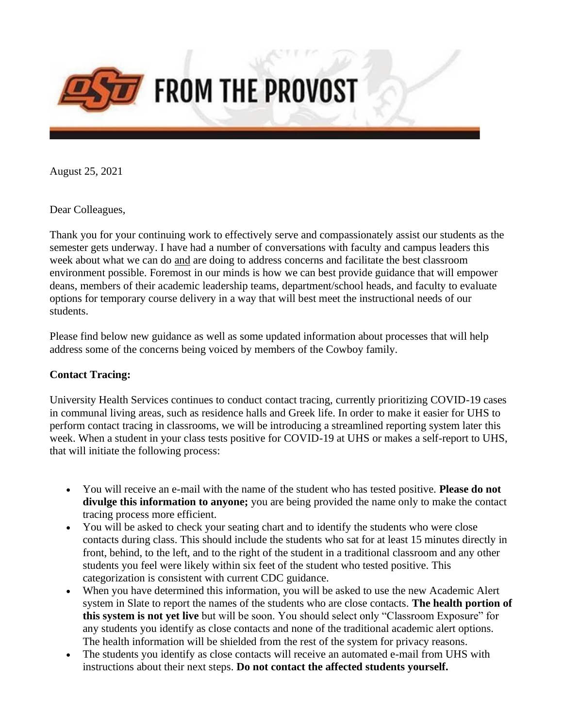

August 25, 2021

Dear Colleagues,

Thank you for your continuing work to effectively serve and compassionately assist our students as the semester gets underway. I have had a number of conversations with faculty and campus leaders this week about what we can do and are doing to address concerns and facilitate the best classroom environment possible. Foremost in our minds is how we can best provide guidance that will empower deans, members of their academic leadership teams, department/school heads, and faculty to evaluate options for temporary course delivery in a way that will best meet the instructional needs of our students.

Please find below new guidance as well as some updated information about processes that will help address some of the concerns being voiced by members of the Cowboy family.

### **Contact Tracing:**

University Health Services continues to conduct contact tracing, currently prioritizing COVID-19 cases in communal living areas, such as residence halls and Greek life. In order to make it easier for UHS to perform contact tracing in classrooms, we will be introducing a streamlined reporting system later this week. When a student in your class tests positive for COVID-19 at UHS or makes a self-report to UHS, that will initiate the following process:

- You will receive an e-mail with the name of the student who has tested positive. **Please do not divulge this information to anyone;** you are being provided the name only to make the contact tracing process more efficient.
- You will be asked to check your seating chart and to identify the students who were close contacts during class. This should include the students who sat for at least 15 minutes directly in front, behind, to the left, and to the right of the student in a traditional classroom and any other students you feel were likely within six feet of the student who tested positive. This categorization is consistent with current CDC guidance.
- When you have determined this information, you will be asked to use the new Academic Alert system in Slate to report the names of the students who are close contacts. **The health portion of this system is not yet live** but will be soon. You should select only "Classroom Exposure" for any students you identify as close contacts and none of the traditional academic alert options. The health information will be shielded from the rest of the system for privacy reasons.
- The students you identify as close contacts will receive an automated e-mail from UHS with instructions about their next steps. **Do not contact the affected students yourself.**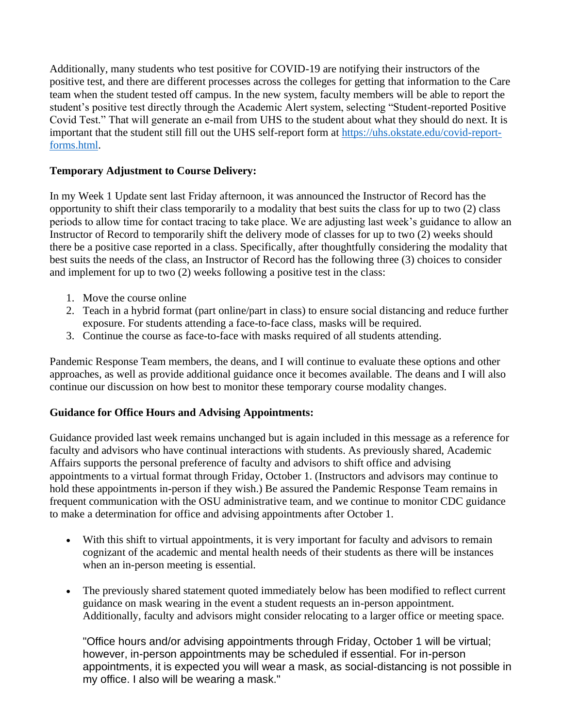Additionally, many students who test positive for COVID-19 are notifying their instructors of the positive test, and there are different processes across the colleges for getting that information to the Care team when the student tested off campus. In the new system, faculty members will be able to report the student's positive test directly through the Academic Alert system, selecting "Student-reported Positive Covid Test." That will generate an e-mail from UHS to the student about what they should do next. It is important that the student still fill out the UHS self-report form at [https://uhs.okstate.edu/covid-report](https://nam04.safelinks.protection.outlook.com/?url=https%3A%2F%2Fuhs.okstate.edu%2Fcovid-report-forms.html&data=04%7C01%7Cbobbikay.lewis%40okstate.edu%7Ced4d88e7935343b6f2e808d96814e2b7%7C2a69c91de8494e34a230cdf8b27e1964%7C0%7C0%7C637655261221847553%7CUnknown%7CTWFpbGZsb3d8eyJWIjoiMC4wLjAwMDAiLCJQIjoiV2luMzIiLCJBTiI6Ik1haWwiLCJXVCI6Mn0%3D%7C1000&sdata=epjCXGM2SUAYFJ53USYPdvdQG0NcLi%2FvuTn%2Fkr3eWMU%3D&reserved=0)[forms.html.](https://nam04.safelinks.protection.outlook.com/?url=https%3A%2F%2Fuhs.okstate.edu%2Fcovid-report-forms.html&data=04%7C01%7Cbobbikay.lewis%40okstate.edu%7Ced4d88e7935343b6f2e808d96814e2b7%7C2a69c91de8494e34a230cdf8b27e1964%7C0%7C0%7C637655261221847553%7CUnknown%7CTWFpbGZsb3d8eyJWIjoiMC4wLjAwMDAiLCJQIjoiV2luMzIiLCJBTiI6Ik1haWwiLCJXVCI6Mn0%3D%7C1000&sdata=epjCXGM2SUAYFJ53USYPdvdQG0NcLi%2FvuTn%2Fkr3eWMU%3D&reserved=0)

# **Temporary Adjustment to Course Delivery:**

In my Week 1 Update sent last Friday afternoon, it was announced the Instructor of Record has the opportunity to shift their class temporarily to a modality that best suits the class for up to two (2) class periods to allow time for contact tracing to take place. We are adjusting last week's guidance to allow an Instructor of Record to temporarily shift the delivery mode of classes for up to two (2) weeks should there be a positive case reported in a class. Specifically, after thoughtfully considering the modality that best suits the needs of the class, an Instructor of Record has the following three (3) choices to consider and implement for up to two (2) weeks following a positive test in the class:

- 1. Move the course online
- 2. Teach in a hybrid format (part online/part in class) to ensure social distancing and reduce further exposure. For students attending a face-to-face class, masks will be required.
- 3. Continue the course as face-to-face with masks required of all students attending.

Pandemic Response Team members, the deans, and I will continue to evaluate these options and other approaches, as well as provide additional guidance once it becomes available. The deans and I will also continue our discussion on how best to monitor these temporary course modality changes.

# **Guidance for Office Hours and Advising Appointments:**

Guidance provided last week remains unchanged but is again included in this message as a reference for faculty and advisors who have continual interactions with students. As previously shared, Academic Affairs supports the personal preference of faculty and advisors to shift office and advising appointments to a virtual format through Friday, October 1. (Instructors and advisors may continue to hold these appointments in-person if they wish.) Be assured the Pandemic Response Team remains in frequent communication with the OSU administrative team, and we continue to monitor CDC guidance to make a determination for office and advising appointments after October 1.

- With this shift to virtual appointments, it is very important for faculty and advisors to remain cognizant of the academic and mental health needs of their students as there will be instances when an in-person meeting is essential.
- The previously shared statement quoted immediately below has been modified to reflect current guidance on mask wearing in the event a student requests an in-person appointment. Additionally, faculty and advisors might consider relocating to a larger office or meeting space.

"Office hours and/or advising appointments through Friday, October 1 will be virtual; however, in-person appointments may be scheduled if essential. For in-person appointments, it is expected you will wear a mask, as social-distancing is not possible in my office. I also will be wearing a mask."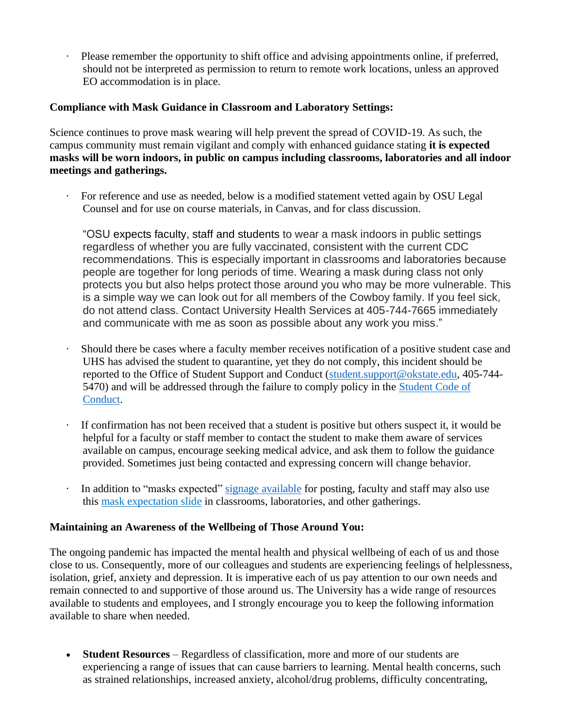Please remember the opportunity to shift office and advising appointments online, if preferred, should not be interpreted as permission to return to remote work locations, unless an approved EO accommodation is in place.

### **Compliance with Mask Guidance in Classroom and Laboratory Settings:**

Science continues to prove mask wearing will help prevent the spread of COVID-19. As such, the campus community must remain vigilant and comply with enhanced guidance stating **it is expected masks will be worn indoors, in public on campus including classrooms, laboratories and all indoor meetings and gatherings.**

· For reference and use as needed, below is a modified statement vetted again by OSU Legal Counsel and for use on course materials, in Canvas, and for class discussion.

"OSU expects faculty, staff and students to wear a mask indoors in public settings regardless of whether you are fully vaccinated, consistent with the current CDC recommendations. This is especially important in classrooms and laboratories because people are together for long periods of time. Wearing a mask during class not only protects you but also helps protect those around you who may be more vulnerable. This is a simple way we can look out for all members of the Cowboy family. If you feel sick, do not attend class. Contact University Health Services at 405-744-7665 immediately and communicate with me as soon as possible about any work you miss."

- Should there be cases where a faculty member receives notification of a positive student case and UHS has advised the student to quarantine, yet they do not comply, this incident should be reported to the Office of Student Support and Conduct [\(student.support@okstate.edu,](mailto:student.support@okstate.edu) 405-744- 5470) and will be addressed through the failure to comply policy in the [Student Code of](https://nam04.safelinks.protection.outlook.com/?url=https%3A%2F%2Fssc.okstate.edu%2Fstudentcodeofconduct2021-22.pdf&data=04%7C01%7Cbobbikay.lewis%40okstate.edu%7Ced4d88e7935343b6f2e808d96814e2b7%7C2a69c91de8494e34a230cdf8b27e1964%7C0%7C0%7C637655261221857508%7CUnknown%7CTWFpbGZsb3d8eyJWIjoiMC4wLjAwMDAiLCJQIjoiV2luMzIiLCJBTiI6Ik1haWwiLCJXVCI6Mn0%3D%7C1000&sdata=S8Wiy7QHv8N1oHl9pOGUhC9zZ7%2BuV%2FY0%2BLSj0pqjpfk%3D&reserved=0)  [Conduct.](https://nam04.safelinks.protection.outlook.com/?url=https%3A%2F%2Fssc.okstate.edu%2Fstudentcodeofconduct2021-22.pdf&data=04%7C01%7Cbobbikay.lewis%40okstate.edu%7Ced4d88e7935343b6f2e808d96814e2b7%7C2a69c91de8494e34a230cdf8b27e1964%7C0%7C0%7C637655261221857508%7CUnknown%7CTWFpbGZsb3d8eyJWIjoiMC4wLjAwMDAiLCJQIjoiV2luMzIiLCJBTiI6Ik1haWwiLCJXVCI6Mn0%3D%7C1000&sdata=S8Wiy7QHv8N1oHl9pOGUhC9zZ7%2BuV%2FY0%2BLSj0pqjpfk%3D&reserved=0)
- If confirmation has not been received that a student is positive but others suspect it, it would be helpful for a faculty or staff member to contact the student to make them aware of services available on campus, encourage seeking medical advice, and ask them to follow the guidance provided. Sometimes just being contacted and expressing concern will change behavior.
- In addition to "masks expected" [signage available](https://nam04.safelinks.protection.outlook.com/?url=https%3A%2F%2Fgo.okstate.edu%2Fsite-files%2Fdocs%2Fcovid-19-announcement%2Fwear-mask-letter.pdf&data=04%7C01%7Cbobbikay.lewis%40okstate.edu%7Ced4d88e7935343b6f2e808d96814e2b7%7C2a69c91de8494e34a230cdf8b27e1964%7C0%7C0%7C637655261221857508%7CUnknown%7CTWFpbGZsb3d8eyJWIjoiMC4wLjAwMDAiLCJQIjoiV2luMzIiLCJBTiI6Ik1haWwiLCJXVCI6Mn0%3D%7C1000&sdata=SfFWegXFTpjiXlhtpz6LsIe2iYNtop7eyXpQzC87LEU%3D&reserved=0) for posting, faculty and staff may also use this [mask expectation slide](https://nam04.safelinks.protection.outlook.com/?url=https%3A%2F%2Fgo.okstate.edu%2Fsite-files%2Fdocs%2Fcovid-19-announcement%2Fmasks-expected.pdf&data=04%7C01%7Cbobbikay.lewis%40okstate.edu%7Ced4d88e7935343b6f2e808d96814e2b7%7C2a69c91de8494e34a230cdf8b27e1964%7C0%7C0%7C637655261221867468%7CUnknown%7CTWFpbGZsb3d8eyJWIjoiMC4wLjAwMDAiLCJQIjoiV2luMzIiLCJBTiI6Ik1haWwiLCJXVCI6Mn0%3D%7C1000&sdata=s0MAQ%2BRpZHzet2LuImqnOqc35fE5K9ZKAsmEMXc7JDg%3D&reserved=0) in classrooms, laboratories, and other gatherings.

### **Maintaining an Awareness of the Wellbeing of Those Around You:**

The ongoing pandemic has impacted the mental health and physical wellbeing of each of us and those close to us. Consequently, more of our colleagues and students are experiencing feelings of helplessness, isolation, grief, anxiety and depression. It is imperative each of us pay attention to our own needs and remain connected to and supportive of those around us. The University has a wide range of resources available to students and employees, and I strongly encourage you to keep the following information available to share when needed.

• **Student Resources** – Regardless of classification, more and more of our students are experiencing a range of issues that can cause barriers to learning. Mental health concerns, such as strained relationships, increased anxiety, alcohol/drug problems, difficulty concentrating,